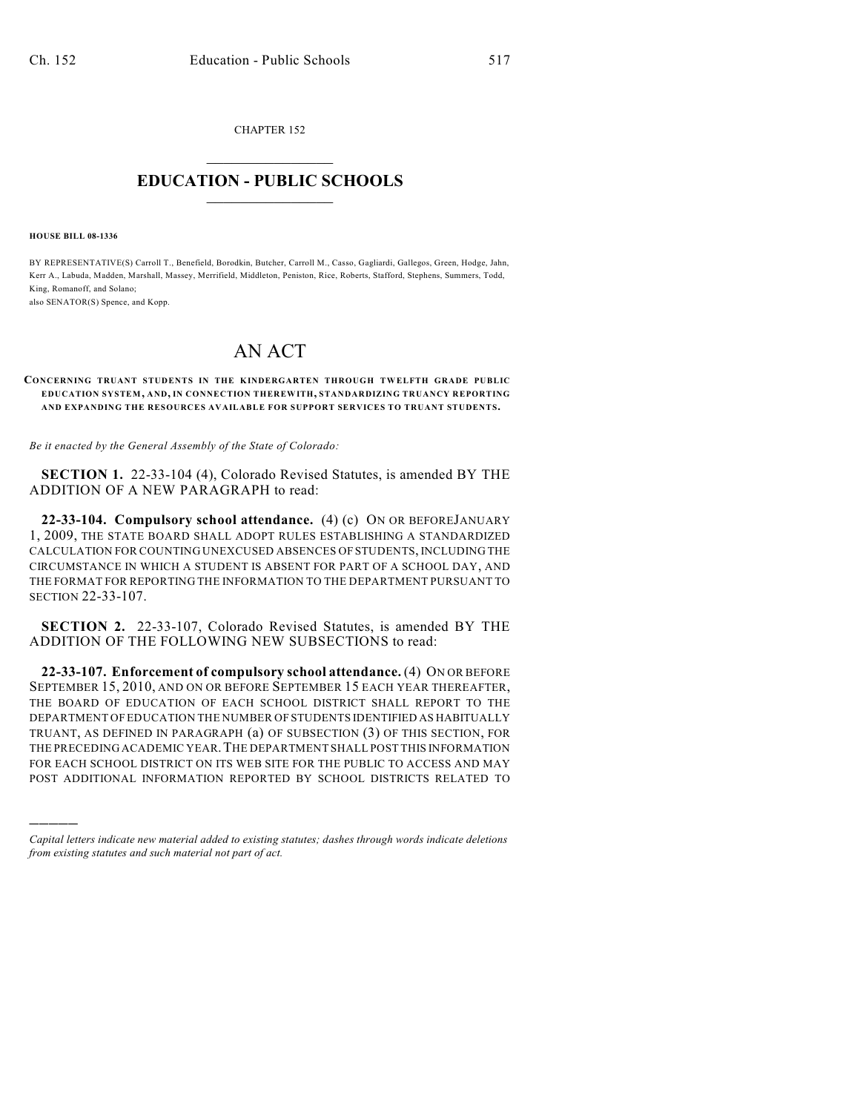CHAPTER 152  $\mathcal{L}_\text{max}$  . The set of the set of the set of the set of the set of the set of the set of the set of the set of the set of the set of the set of the set of the set of the set of the set of the set of the set of the set

## **EDUCATION - PUBLIC SCHOOLS**  $\_$   $\_$   $\_$   $\_$   $\_$   $\_$   $\_$   $\_$   $\_$

**HOUSE BILL 08-1336**

)))))

BY REPRESENTATIVE(S) Carroll T., Benefield, Borodkin, Butcher, Carroll M., Casso, Gagliardi, Gallegos, Green, Hodge, Jahn, Kerr A., Labuda, Madden, Marshall, Massey, Merrifield, Middleton, Peniston, Rice, Roberts, Stafford, Stephens, Summers, Todd, King, Romanoff, and Solano;

also SENATOR(S) Spence, and Kopp.

## AN ACT

## **CONCERNING TRUANT STUDENTS IN THE KINDERGARTEN THROUGH TWELFTH GRADE PUBLIC EDUCATION SYSTEM, AND, IN CONNECTION THEREWITH, STANDARDIZING TRUANCY REPORTING AND EXPANDING THE RESOURCES AVAILABLE FOR SUPPORT SERVICES TO TRUANT STUDENTS.**

*Be it enacted by the General Assembly of the State of Colorado:*

**SECTION 1.** 22-33-104 (4), Colorado Revised Statutes, is amended BY THE ADDITION OF A NEW PARAGRAPH to read:

**22-33-104. Compulsory school attendance.** (4) (c) ON OR BEFOREJANUARY 1, 2009, THE STATE BOARD SHALL ADOPT RULES ESTABLISHING A STANDARDIZED CALCULATION FOR COUNTING UNEXCUSED ABSENCES OF STUDENTS, INCLUDING THE CIRCUMSTANCE IN WHICH A STUDENT IS ABSENT FOR PART OF A SCHOOL DAY, AND THE FORMAT FOR REPORTING THE INFORMATION TO THE DEPARTMENT PURSUANT TO SECTION 22-33-107.

**SECTION 2.** 22-33-107, Colorado Revised Statutes, is amended BY THE ADDITION OF THE FOLLOWING NEW SUBSECTIONS to read:

**22-33-107. Enforcement of compulsory school attendance.** (4) ON OR BEFORE SEPTEMBER 15, 2010, AND ON OR BEFORE SEPTEMBER 15 EACH YEAR THEREAFTER, THE BOARD OF EDUCATION OF EACH SCHOOL DISTRICT SHALL REPORT TO THE DEPARTMENT OF EDUCATION THE NUMBER OF STUDENTS IDENTIFIED AS HABITUALLY TRUANT, AS DEFINED IN PARAGRAPH (a) OF SUBSECTION (3) OF THIS SECTION, FOR THE PRECEDING ACADEMIC YEAR.THE DEPARTMENT SHALL POST THIS INFORMATION FOR EACH SCHOOL DISTRICT ON ITS WEB SITE FOR THE PUBLIC TO ACCESS AND MAY POST ADDITIONAL INFORMATION REPORTED BY SCHOOL DISTRICTS RELATED TO

*Capital letters indicate new material added to existing statutes; dashes through words indicate deletions from existing statutes and such material not part of act.*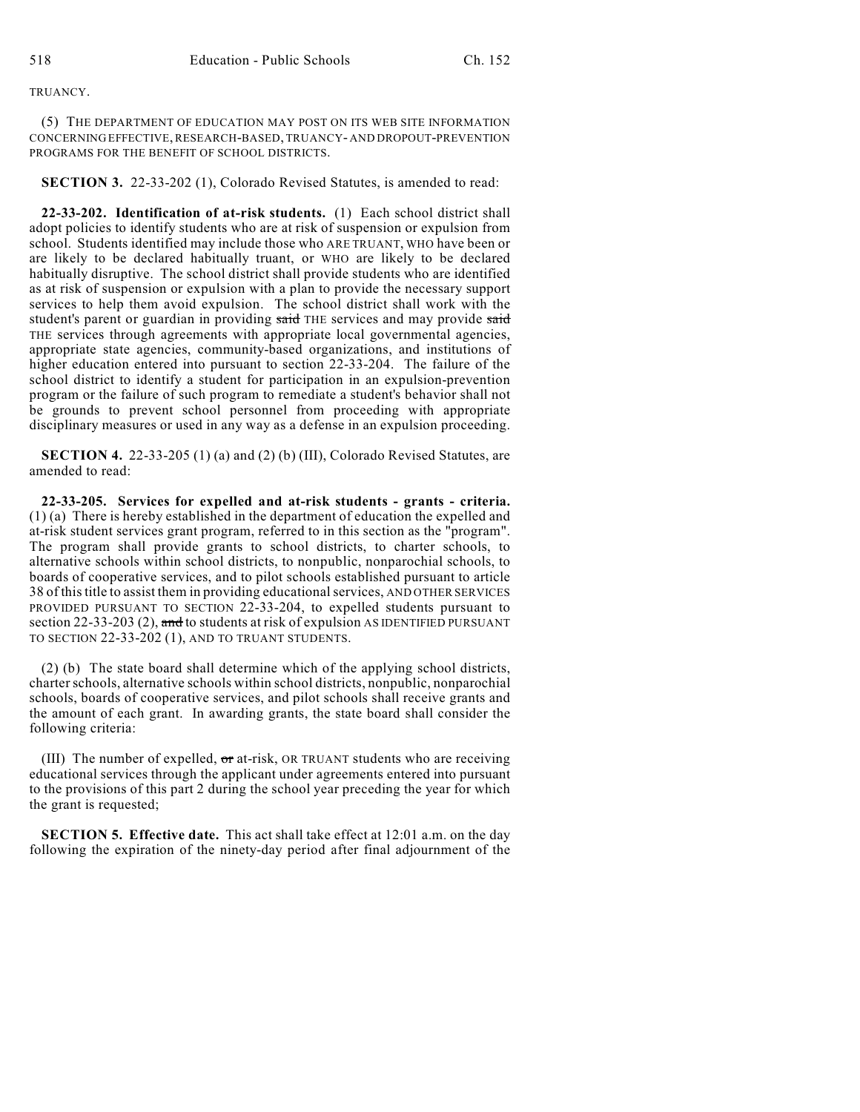## TRUANCY.

(5) THE DEPARTMENT OF EDUCATION MAY POST ON ITS WEB SITE INFORMATION CONCERNING EFFECTIVE, RESEARCH-BASED, TRUANCY- AND DROPOUT-PREVENTION PROGRAMS FOR THE BENEFIT OF SCHOOL DISTRICTS.

**SECTION 3.** 22-33-202 (1), Colorado Revised Statutes, is amended to read:

**22-33-202. Identification of at-risk students.** (1) Each school district shall adopt policies to identify students who are at risk of suspension or expulsion from school. Students identified may include those who ARE TRUANT, WHO have been or are likely to be declared habitually truant, or WHO are likely to be declared habitually disruptive. The school district shall provide students who are identified as at risk of suspension or expulsion with a plan to provide the necessary support services to help them avoid expulsion. The school district shall work with the student's parent or guardian in providing said THE services and may provide said THE services through agreements with appropriate local governmental agencies, appropriate state agencies, community-based organizations, and institutions of higher education entered into pursuant to section 22-33-204. The failure of the school district to identify a student for participation in an expulsion-prevention program or the failure of such program to remediate a student's behavior shall not be grounds to prevent school personnel from proceeding with appropriate disciplinary measures or used in any way as a defense in an expulsion proceeding.

**SECTION 4.** 22-33-205 (1) (a) and (2) (b) (III), Colorado Revised Statutes, are amended to read:

**22-33-205. Services for expelled and at-risk students - grants - criteria.** (1) (a) There is hereby established in the department of education the expelled and at-risk student services grant program, referred to in this section as the "program". The program shall provide grants to school districts, to charter schools, to alternative schools within school districts, to nonpublic, nonparochial schools, to boards of cooperative services, and to pilot schools established pursuant to article 38 of this title to assist them in providing educational services, AND OTHER SERVICES PROVIDED PURSUANT TO SECTION 22-33-204, to expelled students pursuant to section 22-33-203 (2), and to students at risk of expulsion AS IDENTIFIED PURSUANT TO SECTION 22-33-202 (1), AND TO TRUANT STUDENTS.

(2) (b) The state board shall determine which of the applying school districts, charter schools, alternative schools within school districts, nonpublic, nonparochial schools, boards of cooperative services, and pilot schools shall receive grants and the amount of each grant. In awarding grants, the state board shall consider the following criteria:

(III) The number of expelled,  $\sigma$  at-risk, OR TRUANT students who are receiving educational services through the applicant under agreements entered into pursuant to the provisions of this part 2 during the school year preceding the year for which the grant is requested;

**SECTION 5. Effective date.** This act shall take effect at 12:01 a.m. on the day following the expiration of the ninety-day period after final adjournment of the